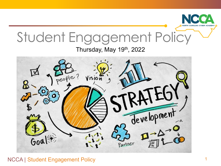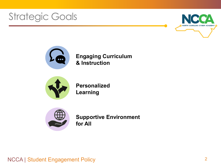## **Strategic Goals**





**Engaging Curriculum & Instruction**



**Personalized Learning**



**Supportive Environment for All**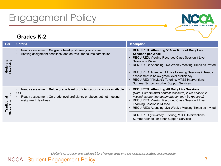#### NCCA | Student Engagement Policy

## Engagement Policy

#### **Grades K-2**

| <b>Tier</b>                         | <b>Criteria</b>                                                                                                                                                                         | <b>Description</b>                                                                                                                                                                                                                                                                                                                                                                                                                         |
|-------------------------------------|-----------------------------------------------------------------------------------------------------------------------------------------------------------------------------------------|--------------------------------------------------------------------------------------------------------------------------------------------------------------------------------------------------------------------------------------------------------------------------------------------------------------------------------------------------------------------------------------------------------------------------------------------|
| Moderate<br>Flexibility             | iReady assessment: On grade level proficiency or above<br>Meeting assignment deadlines, and on-track for course completion                                                              | REQUIRED: Attending 50% or More of Daily Live<br>$\bullet$<br><b>Sessions per Week</b><br>REQUIRED: Viewing Recorded Class Session if Live<br>Session is Missed<br>REQUIRED: Attending Live Weekly Meeting Times as Invited<br>REQUIRED: Attending All Live Learning Sessions if iReady<br>assessment is below grade level proficiency<br>REQUIRED (if invited): Tutoring, MTSS Interventions,<br>Summer School, or other Support Services |
| ructure<br>Traditional<br>lass<br>ပ | iReady assessment: Below grade level proficiency, or no score available<br><b>OR</b><br>iReady assessment: On grade level proficiency or above, but not meeting<br>assignment deadlines | <b>REQUIRED: Attending All Daily Live Sessions</b><br>(Note: Parents must contact teacher(s) if live session is<br>missed; supporting documentation may be required.)<br>REQUIRED: Viewing Recorded Class Session if Live<br>Learning Session is Missed<br>REQUIRED: Attending Live Weekly Meeting Times as Invited<br>$\bullet$<br>REQUIRED (if invited): Tutoring, MTSS Interventions,<br>Summer School, or other Support Services       |

*Details of policy are subject to change and will be communicated accordingly.*

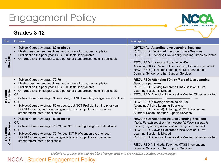#### **Grades 3-12**



*Details of policy are subject to change and will be communicated accordingly.*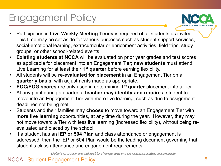

- Participation in **Live Weekly Meeting Times** is required of all students as invited. This time may be set aside for various purposes such as student support services, social-emotional learning, extracurricular or enrichment activities, field trips, study groups, or other school-related events.
- **Existing students at NCCA** will be evaluated on prior year grades and test scores as applicable for placement into an Engagement Tier; **new students** must attend Live Learning for at least their **1st quarter** before earning flexibility.
- All students will be **re-evaluated for placement** in an Engagement Tier on a **quarterly basis**, with adjustments made as appropriate.
- **EOC/EOG scores** are only used in determining **1st quarter** placement into a Tier.
- At any point during a quarter, a **teacher may identify and require** a student to move into an Engagement Tier with more live learning, such as due to assignment deadlines not being met.
- Students and their families may **choose** to move toward an Engagement Tier with **more live learning** opportunities, at any time during the year. However, they may not move toward a Tier with less live learning (increased flexibility), without being reevaluated and placed by the school.
- If a student has an **IEP or 504 Plan** and class attendance or engagement is addressed, then the IEP or 504 Plan would be the leading document governing that student's class attendance and engagement requirements.

*Details of policy are subject to change and will be communicated accordingly.*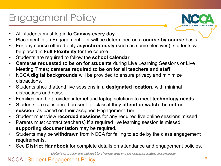- All students must log in to **Canvas every day.**
- Placement in an Engagement Tier will be determined on a **course-by-course** basis.
- For any course offered only **asynchronously** (such as some electives), students will be placed in **Full Flexibility** for the course.
- Students are required to follow the **school calendar**.
- **Cameras requested to be on for students** during Live Learning Sessions or Live Meeting Times; **cameras required to be on for all teachers and staff**.
- NCCA **digital backgrounds** will be provided to ensure privacy and minimize distractions.
- Students should attend live sessions in a **designated location**, with minimal distractions and noise.
- Families can be provided internet and laptop solutions to meet **technology needs**.
- Students are considered present for class if they **attend or watch the entire session**, as based on their assigned Engagement Tier.
- Student must view **recorded sessions** for any required live online sessions missed.
- Parents must contact teacher(s) if a required live learning session is missed; **supporting documentation** may be required.
- Students may be **withdrawn** from NCCA for failing to abide by the class engagement requirements.
- See **District Handbook** for complete details on attendance and engagement policies.

*Details of policy are subject to change and will be communicated accordingly.*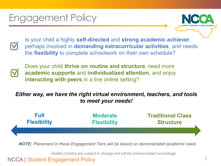Is your child a highly **self-directed** and **strong academic achiever**, perhaps involved in **demanding extracurricular activities**, and needs the **flexibility** to complete schoolwork on their own schedule?



Does your child **thrive on routine and structure**, need more **academic supports** and **individualized attention**, and enjoy **interacting with peers** in a live online setting?

#### *Either way, we have the right virtual environment, teachers, and tools to meet your needs!*

| Full               | <b>Moderate</b>    | <b>Traditional Class</b> |  |
|--------------------|--------------------|--------------------------|--|
| <b>Flexibility</b> | <b>Flexibility</b> | <b>Structure</b>         |  |
|                    |                    |                          |  |

*NOTE: Placement in these Engagement Tiers will be based on demonstrated academic need.*

*Details of policy are subject to change and will be communicated accordingly.*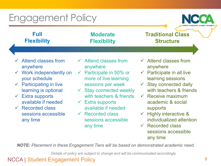**NORTH CAROLINA CYBER ACADE** 

| Full<br><b>Flexibility</b>                                                                                                                                                                                                                                                                | <b>Moderate</b><br><b>Flexibility</b>                                                                                                                                                                                                                                                                                     | <b>Traditional Class</b><br><b>Structure</b>                                                                                                                                                                                                                                                                                                                                  |
|-------------------------------------------------------------------------------------------------------------------------------------------------------------------------------------------------------------------------------------------------------------------------------------------|---------------------------------------------------------------------------------------------------------------------------------------------------------------------------------------------------------------------------------------------------------------------------------------------------------------------------|-------------------------------------------------------------------------------------------------------------------------------------------------------------------------------------------------------------------------------------------------------------------------------------------------------------------------------------------------------------------------------|
|                                                                                                                                                                                                                                                                                           |                                                                                                                                                                                                                                                                                                                           |                                                                                                                                                                                                                                                                                                                                                                               |
| $\checkmark$ Attend classes from<br>anywhere<br>$\checkmark$ Work independently on<br>your schedule<br>$\checkmark$ Participating in live<br>learning is optional<br>$\checkmark$ Extra supports<br>available if needed<br>$\checkmark$ Recorded class<br>sessions accessible<br>any time | $\checkmark$ Attend classes from<br>anywhere<br>$\checkmark$ Participate in 50% or<br>more of live learning<br>sessions per week<br>$\checkmark$ Stay connected weekly<br>with teachers & friends<br>$\checkmark$ Extra supports<br>available if needed<br>$\checkmark$ Recorded class<br>sessions accessible<br>any time | $\checkmark$ Attend classes from<br>anywhere<br>$\checkmark$ Participate in all live<br>learning sessions<br>$\checkmark$ Stay connected daily<br>with teachers & friends<br>$\checkmark$ Receive maximum<br>academic & social<br>supports<br>$\checkmark$ Highly interactive &<br>individualized attention<br>$\checkmark$ Recorded class<br>sessions accessible<br>any time |

*NOTE: Placement in these Engagement Tiers will be based on demonstrated academic need.*

*Details of policy are subject to change and will be communicated accordingly.*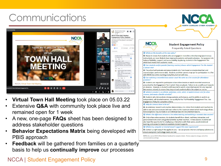## **Communications**





- **Virtual Town Hall Meeting** took place on 05.03.22
- Extensive **Q&A** with community took place live and remained open for 1 week
- A new, one-page **FAQs** sheet has been designed to address stakeholder questions
- **Behavior Expectations Matrix** being developed with PBIS approach
- **Feedback** will be gathered from families on a quarterly basis to help us **continually improve** our processes

#### NCCA | Student Engagement Policy 9





#### **Student Engagement Policy**

**Frequently Asked Questions** 

#### Q: What are the benefits of this new policy?

A: Research shows that students who are engaged in more live online learning (synchronous instruction), are more likely to have improved academic and social outcomes. Our purpose is to balance flexibility, support, and accountability, by placing students in the Engagement Tier which best meets their academic needs.

Q: Can students and/or parents (learning coaches) choose which Engagement Tier the student is placed into?

A: The school will evaluate and place students into Tiers based on standardized test and course/subject performance data. Students and their parents may opt for participation in a Tier with MORE live online learning at any time, but not with less.

Q: Can watching a recorded class session count the same as a live session for attendance purposes?

A: Students are required to participate in live online lessons or watch recorded sessions as prescribed by the Engagement Tier in which they are placed. Failure to do so will count towards an absence. However, a student is still required to watch a recorded session for any required live sessions missed, to ensure they stay on track academically in the subject or course.

Q: What if a student is an athlete, performer, actor, artist, or needs to travel a lot for other reasons, and needs a flexible schedule?

A: Students who demonstrate strong academic performance, and the ability to work in an independent, self-directed manner, can qualify for the 'Full Flexibility' Engagement Tier. See Engagement Policy for complete criteria.

#### Q: Why do cameras have to be on?

A: As extensive research and practice demonstrates, it is critical that students and teachers be able to see and communicate with each other to the maximum extent which technology allows. Rare exceptions may be made on an individual basis for documented reasons.

Q: What is the difference between a live online learning and watching a recorded class session?

A: Only in live online sessions, do students benefit from direct, real-time, interactive, and personalized instruction and guided activities by their teachers. In live sessions students will also have the opportunity for small group interactions with their peers, social-emotional learning, and access to maximum available student supports.

Q: What if my computer or internet doesn't support this new requirement?

A: Contact us right away if this applies to you - we can provide internet and laptop solutions to ensure everyone's technology needs are met.

NOTES: See current NCCA Official District Handbook for complete details. Policies subject to change, and will be communicated accordingly.